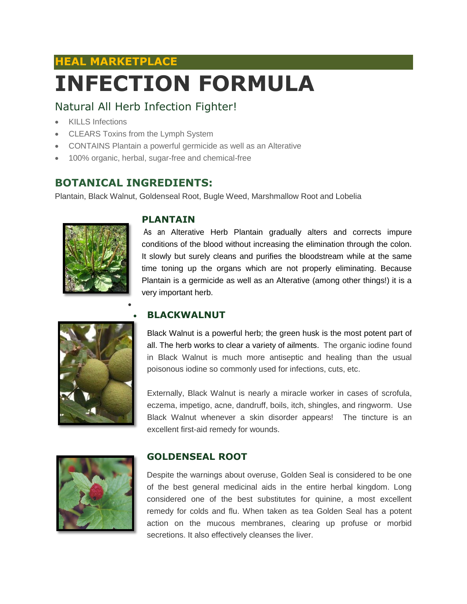# **HEAL MARKETPLACE INFECTION FORMULA**

# Natural All Herb Infection Fighter!

- KILLS Infections
- CLEARS Toxins from the Lymph System
- CONTAINS Plantain a powerful germicide as well as an Alterative
- 100% organic, herbal, sugar-free and chemical-free

# **BOTANICAL INGREDIENTS:**

 $\bullet$ 

Plantain, Black Walnut, Goldenseal Root, Bugle Weed, Marshmallow Root and Lobelia



#### **PLANTAIN**

As an Alterative Herb Plantain gradually alters and corrects impure conditions of the blood without increasing the elimination through the colon. It slowly but surely cleans and purifies the bloodstream while at the same time toning up the organs which are not properly eliminating. Because Plantain is a germicide as well as an Alterative (among other things!) it is a very important herb.



### **BLACKWALNUT**

Black Walnut is a powerful herb; the green husk is the most potent part of all. The herb works to clear a variety of ailments. The organic iodine found in Black Walnut is much more antiseptic and healing than the usual poisonous iodine so commonly used for infections, cuts, etc.

Externally, Black Walnut is nearly a miracle worker in cases of scrofula, eczema, impetigo, acne, dandruff, boils, itch, shingles, and ringworm. Use Black Walnut whenever a skin disorder appears! The tincture is an excellent first-aid remedy for wounds.



## **GOLDENSEAL ROOT**

Despite the warnings about overuse, Golden Seal is considered to be one of the best general medicinal aids in the entire herbal kingdom. Long considered one of the best substitutes for quinine, a most excellent remedy for colds and flu. When taken as tea Golden Seal has a potent action on the mucous membranes, clearing up profuse or morbid secretions. It also effectively cleanses the liver.